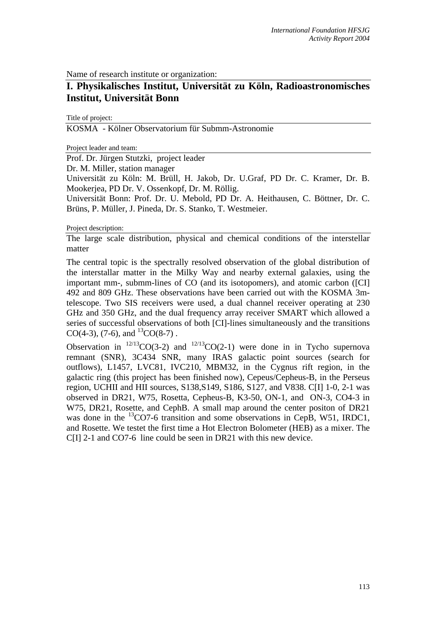Name of research institute or organization:

## **I. Physikalisches Institut, Universität zu Köln, Radioastronomisches Institut, Universität Bonn**

Title of project:

KOSMA - Kölner Observatorium für Submm-Astronomie

Project leader and team:

Prof. Dr. Jürgen Stutzki, project leader

Dr. M. Miller, station manager

Universität zu Köln: M. Brüll, H. Jakob, Dr. U.Graf, PD Dr. C. Kramer, Dr. B. Mookerjea, PD Dr. V. Ossenkopf, Dr. M. Röllig.

Universität Bonn: Prof. Dr. U. Mebold, PD Dr. A. Heithausen, C. Böttner, Dr. C. Brüns, P. Müller, J. Pineda, Dr. S. Stanko, T. Westmeier.

Project description:

The large scale distribution, physical and chemical conditions of the interstellar matter

The central topic is the spectrally resolved observation of the global distribution of the interstallar matter in the Milky Way and nearby external galaxies, using the important mm-, submm-lines of CO (and its isotopomers), and atomic carbon ([CI] 492 and 809 GHz. These observations have been carried out with the KOSMA 3mtelescope. Two SIS receivers were used, a dual channel receiver operating at 230 GHz and 350 GHz, and the dual frequency array receiver SMART which allowed a series of successful observations of both [CI]-lines simultaneously and the transitions CO(4-3), (7-6), and  ${}^{13}CO(8-7)$ .

Observation in  $^{12/13}CO(3-2)$  and  $^{12/13}CO(2-1)$  were done in in Tycho supernova remnant (SNR), 3C434 SNR, many IRAS galactic point sources (search for outflows), L1457, LVC81, IVC210, MBM32, in the Cygnus rift region, in the galactic ring (this project has been finished now), Cepeus/Cepheus-B, in the Perseus region, UCHII and HII sources, S138,S149, S186, S127, and V838. C[I] 1-0, 2-1 was observed in DR21, W75, Rosetta, Cepheus-B, K3-50, ON-1, and ON-3, CO4-3 in W75, DR21, Rosette, and CephB. A small map around the center positon of DR21 was done in the  ${}^{13}$ CO7-6 transition and some observations in CepB, W51, IRDC1, and Rosette. We testet the first time a Hot Electron Bolometer (HEB) as a mixer. The C[I] 2-1 and CO7-6 line could be seen in DR21 with this new device.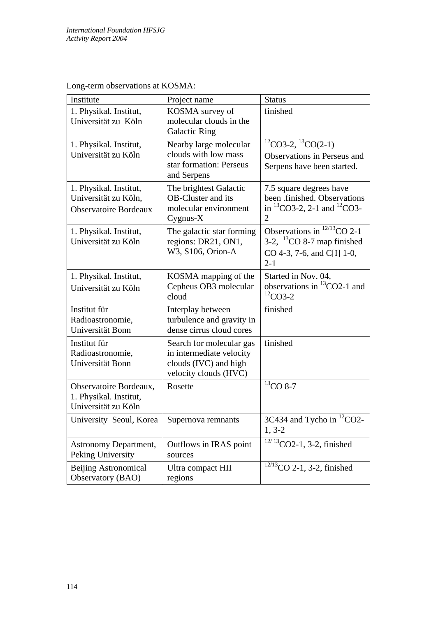| Institute                                                                      | Project name                                                                                           | <b>Status</b>                                                                                                   |
|--------------------------------------------------------------------------------|--------------------------------------------------------------------------------------------------------|-----------------------------------------------------------------------------------------------------------------|
| 1. Physikal. Institut,<br>Universität zu Köln                                  | KOSMA survey of<br>molecular clouds in the<br><b>Galactic Ring</b>                                     | finished                                                                                                        |
| 1. Physikal. Institut,<br>Universität zu Köln                                  | Nearby large molecular<br>clouds with low mass<br>star formation: Perseus<br>and Serpens               | ${}^{12}CO3-2, {}^{13}CO(2-1)$<br>Observations in Perseus and<br>Serpens have been started.                     |
| 1. Physikal. Institut,<br>Universität zu Köln,<br><b>Observatoire Bordeaux</b> | The brightest Galactic<br><b>OB-Cluster and its</b><br>molecular environment<br>Cyg <sub>1</sub> X     | 7.5 square degrees have<br>been .finished. Observations<br>in ${}^{13}CO3-2$ , 2-1 and ${}^{12}CO3-$<br>2       |
| 1. Physikal. Institut,<br>Universität zu Köln                                  | The galactic star forming<br>regions: DR21, ON1,<br>W3, S106, Orion-A                                  | Observations in $^{12/13}$ CO 2-1<br>3-2, ${}^{13}CO$ 8-7 map finished<br>CO 4-3, 7-6, and C[I] 1-0,<br>$2 - 1$ |
| 1. Physikal. Institut,<br>Universität zu Köln                                  | KOSMA mapping of the<br>Cepheus OB3 molecular<br>cloud                                                 | Started in Nov. 04,<br>observations in ${}^{13}CO2-1$ and<br>${}^{12}CO3-2$                                     |
| Institut für<br>Radioastronomie,<br>Universität Bonn                           | Interplay between<br>turbulence and gravity in<br>dense cirrus cloud cores                             | finished                                                                                                        |
| Institut für<br>Radioastronomie,<br>Universität Bonn                           | Search for molecular gas<br>in intermediate velocity<br>clouds (IVC) and high<br>velocity clouds (HVC) | finished                                                                                                        |
| Observatoire Bordeaux,<br>1. Physikal. Institut,<br>Universität zu Köln        | Rosette                                                                                                | ${}^{13}$ CO 8-7                                                                                                |
| University Seoul, Korea                                                        | Supernova remnants                                                                                     | 3C434 and Tycho in <sup>12</sup> CO2-<br>$1, 3-2$                                                               |
| <b>Astronomy Department,</b><br>Peking University                              | Outflows in IRAS point<br>sources                                                                      | $12/13$ CO2-1, 3-2, finished                                                                                    |
| Beijing Astronomical<br>Observatory (BAO)                                      | Ultra compact HII<br>regions                                                                           | $12/13$ CO 2-1, 3-2, finished                                                                                   |

Long-term observations at KOSMA: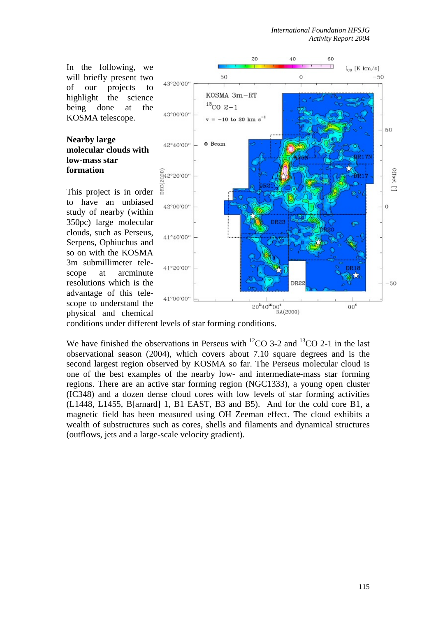In the following, we will briefly present two of our projects to highlight the science being done at the KOSMA telescope.

## **Nearby large molecular clouds with low-mass star formation**

This project is in order to have an unbiased study of nearby (within 350pc) large molecular clouds, such as Perseus, Serpens, Ophiuchus and so on with the KOSMA 3m submillimeter telescope at arcminute resolutions which is the advantage of this telescope to understand the physical and chemical



conditions under different levels of star forming conditions.

We have finished the observations in Perseus with  ${}^{12}CO$  3-2 and  ${}^{13}CO$  2-1 in the last observational season (2004), which covers about 7.10 square degrees and is the second largest region observed by KOSMA so far. The Perseus molecular cloud is one of the best examples of the nearby low- and intermediate-mass star forming regions. There are an active star forming region (NGC1333), a young open cluster (IC348) and a dozen dense cloud cores with low levels of star forming activities (L1448, L1455, B[arnard] 1, B1 EAST, B3 and B5). And for the cold core B1, a magnetic field has been measured using OH Zeeman effect. The cloud exhibits a wealth of substructures such as cores, shells and filaments and dynamical structures (outflows, jets and a large-scale velocity gradient).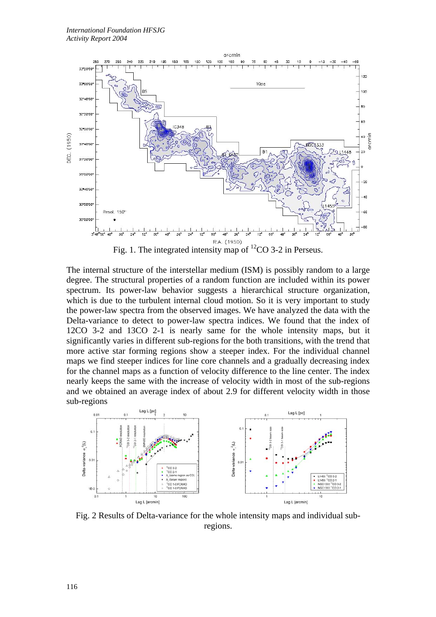

Fig. 1. The integrated intensity map of  ${}^{12}CO$  3-2 in Perseus.

The internal structure of the interstellar medium (ISM) is possibly random to a large degree. The structural properties of a random function are included within its power spectrum. Its power-law behavior suggests a hierarchical structure organization, which is due to the turbulent internal cloud motion. So it is very important to study the power-law spectra from the observed images. We have analyzed the data with the Delta-variance to detect to power-law spectra indices. We found that the index of 12CO 3-2 and 13CO 2-1 is nearly same for the whole intensity maps, but it significantly varies in different sub-regions for the both transitions, with the trend that more active star forming regions show a steeper index. For the individual channel maps we find steeper indices for line core channels and a gradually decreasing index for the channel maps as a function of velocity difference to the line center. The index nearly keeps the same with the increase of velocity width in most of the sub-regions and we obtained an average index of about 2.9 for different velocity width in those sub-regions



Fig. 2 Results of Delta-variance for the whole intensity maps and individual subregions.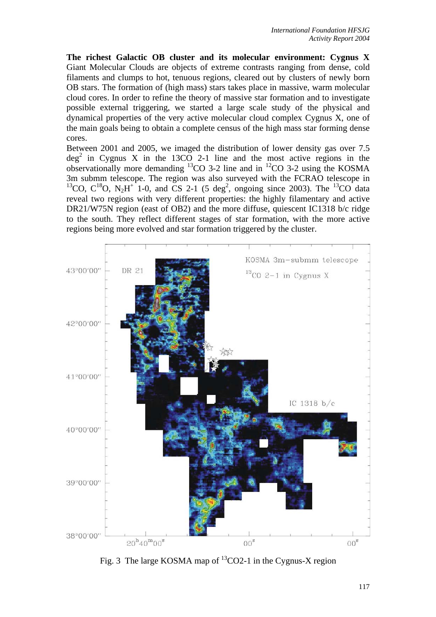**The richest Galactic OB cluster and its molecular environment: Cygnus X** Giant Molecular Clouds are objects of extreme contrasts ranging from dense, cold filaments and clumps to hot, tenuous regions, cleared out by clusters of newly born OB stars. The formation of (high mass) stars takes place in massive, warm molecular cloud cores. In order to refine the theory of massive star formation and to investigate possible external triggering, we started a large scale study of the physical and dynamical properties of the very active molecular cloud complex Cygnus X, one of the main goals being to obtain a complete census of the high mass star forming dense cores.

Between 2001 and 2005, we imaged the distribution of lower density gas over 7.5  $\deg^2$  in Cygnus X in the 13CO 2-1 line and the most active regions in the observationally more demanding 13CO 3-2 line and in 12CO 3-2 using the KOSMA 3m submm telescope. The region was also surveyed with the FCRAO telescope in <sup>13</sup>CO, C<sup>18</sup>O, N<sub>2</sub>H<sup>+</sup> 1-0, and CS 2-1 (5 deg<sup>2</sup>, ongoing since 2003). The <sup>13</sup>CO data reveal two regions with very different properties: the highly filamentary and active DR21/W75N region (east of OB2) and the more diffuse, quiescent IC1318 b/c ridge to the south. They reflect different stages of star formation, with the more active regions being more evolved and star formation triggered by the cluster.



Fig. 3 The large KOSMA map of  ${}^{13}$ CO2-1 in the Cygnus-X region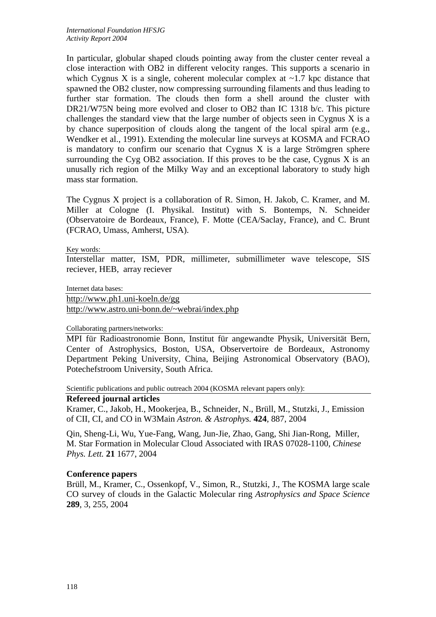In particular, globular shaped clouds pointing away from the cluster center reveal a close interaction with OB2 in different velocity ranges. This supports a scenario in which Cygnus X is a single, coherent molecular complex at  $\sim$ 1.7 kpc distance that spawned the OB2 cluster, now compressing surrounding filaments and thus leading to further star formation. The clouds then form a shell around the cluster with DR21/W75N being more evolved and closer to OB2 than IC 1318 b/c. This picture challenges the standard view that the large number of objects seen in Cygnus  $X$  is a by chance superposition of clouds along the tangent of the local spiral arm (e.g., Wendker et al., 1991). Extending the molecular line surveys at KOSMA and FCRAO is mandatory to confirm our scenario that Cygnus X is a large Strömgren sphere surrounding the Cyg OB2 association. If this proves to be the case, Cygnus  $X$  is an unusally rich region of the Milky Way and an exceptional laboratory to study high mass star formation.

The Cygnus X project is a collaboration of R. Simon, H. Jakob, C. Kramer, and M. Miller at Cologne (I. Physikal. Institut) with S. Bontemps, N. Schneider (Observatoire de Bordeaux, France), F. Motte (CEA/Saclay, France), and C. Brunt (FCRAO, Umass, Amherst, USA).

Key words:

Interstellar matter, ISM, PDR, millimeter, submillimeter wave telescope, SIS reciever, HEB, array reciever

Internet data bases:

<http://www.ph1.uni-koeln.de/gg>

<http://www.astro.uni-bonn.de/~webrai/index.php>

Collaborating partners/networks:

MPI für Radioastronomie Bonn, Institut für angewandte Physik, Universität Bern, Center of Astrophysics, Boston, USA, Observertoire de Bordeaux, Astronomy Department Peking University, China, Beijing Astronomical Observatory (BAO), Potechefstroom University, South Africa.

Scientific publications and public outreach 2004 (KOSMA relevant papers only):

## **Refereed journal articles**

Kramer, C., Jakob, H., Mookerjea, B., Schneider, N., Brüll, M., Stutzki, J., Emission of CII, CI, and CO in W3Main *Astron. & Astrophys.* **424**, 887, 2004

Qin, Sheng-Li, Wu, Yue-Fang, Wang, Jun-Jie, Zhao, Gang, Shi Jian-Rong, Miller, M. Star Formation in Molecular Cloud Associated with IRAS 07028-1100, *Chinese Phys. Lett.* **21** 1677, 2004

## **Conference papers**

Brüll, M., Kramer, C., Ossenkopf, V., Simon, R., Stutzki, J., The KOSMA large scale CO survey of clouds in the Galactic Molecular ring *Astrophysics and Space Science* **289**, 3, 255, 2004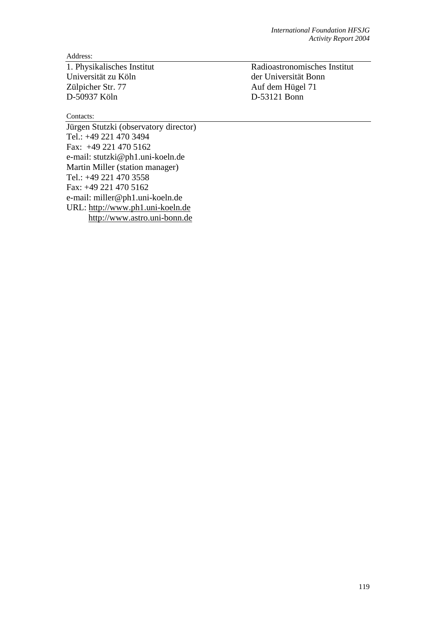Address:

Universität zu Köln<br>
Zülpicher Str. 77 Auf dem Hügel 71 D-50937 Köln D-53121 Bonn

Contacts:

Jürgen Stutzki (observatory director) Tel.: +49 221 470 3494 Fax: +49 221 470 5162 e-mail: stutzki@ph1.uni-koeln.de Martin Miller (station manager) Tel.: +49 221 470 3558 Fax: +49 221 470 5162 e-mail: miller@ph1.uni-koeln.de URL: [http://www.ph1.uni-koeln.de](http://www.ph1.uni-koeln.de/) [http://www.astro.uni-bonn.de](http://www.astro.uni-bonn.de/)

1. Physikalisches Institut Radioastronomisches Institut Auf dem Hügel 71